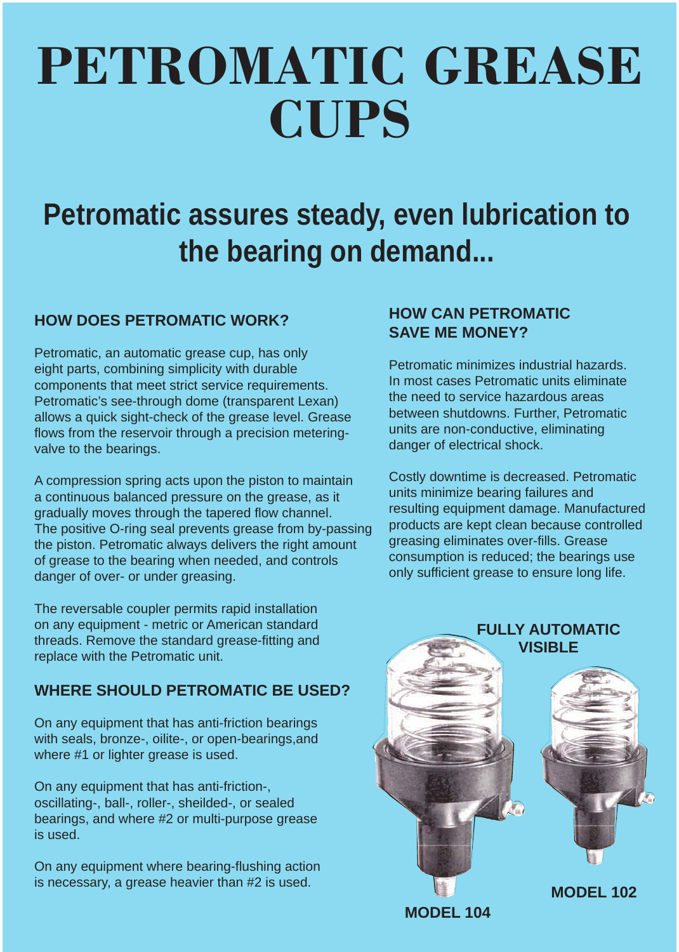# PETROMATIC GREASE **CUPS**

# **Petromatic assures steady, even lubrication to the bearing on demand...**

## **HOW DOES PETROMATIC WORK?**

Petromatic, an automatic grease cup, has only eight parts, combining simplicity with durable components that meet strict service requirements. Petromatic's see-through dome (transparent Lexan) allows a quick sight-check of the grease level. Grease flows from the reservoir through a precision meteringvalve to the bearings.

A compression spring acts upon the piston to maintain a continuous balanced pressure on the grease, as it gradually moves through the tapered flow channel. The positive O-ring seal prevents grease from by-passing the piston. Petromatic always delivers the right amount of grease to the bearing when needed, and controls danger of over- or under greasing.

The reversable coupler permits rapid installation on any equipment - metric or American standard threads. Remove the standard grease-fitting and replace with the Petromatic unit.

#### **WHERE SHOULD PETROMATIC BE USED?**

On any equipment that has anti-friction bearings with seals, bronze-, oilite-, or open-bearings,and where #1 or lighter grease is used.

On any equipment that has anti-friction-, oscillating-, ball-, roller-, sheilded-, or sealed bearings, and where #2 or multi-purpose grease is used.

On any equipment where bearing-flushing action is necessary, a grease heavier than #2 is used.

## **HOW CAN PETROMATIC SAVE ME MONEY?**

Petromatic minimizes industrial hazards. In most cases Petromatic units eliminate the need to service hazardous areas between shutdowns. Further, Petromatic units are non-conductive, eliminating danger of electrical shock.

Costly downtime is decreased. Petromatic units minimize bearing failures and resulting equipment damage. Manufactured products are kept clean because controlled greasing eliminates over-fills. Grease consumption is reduced; the bearings use only sufficient grease to ensure long life.